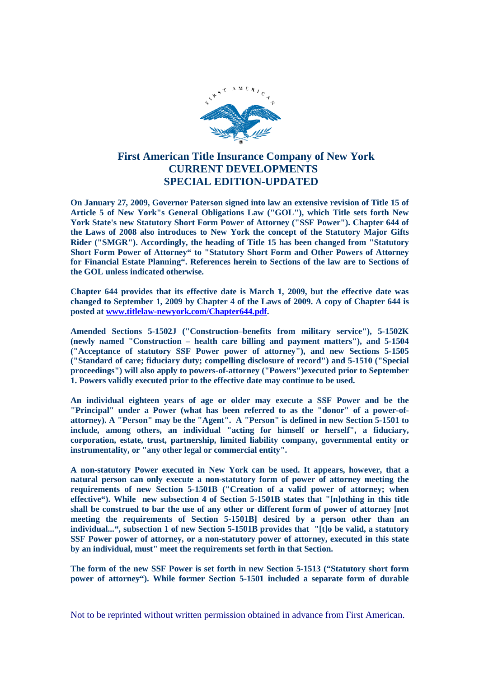

## **First American Title Insurance Company of New York CURRENT DEVELOPMENTS SPECIAL EDITION-UPDATED**

**On January 27, 2009, Governor Paterson signed into law an extensive revision of Title 15 of Article 5 of New York"s General Obligations Law ("GOL"), which Title sets forth New York State's new Statutory Short Form Power of Attorney ("SSF Power"). Chapter 644 of the Laws of 2008 also introduces to New York the concept of the Statutory Major Gifts Rider ("SMGR"). Accordingly, the heading of Title 15 has been changed from "Statutory Short Form Power of Attorney" to "Statutory Short Form and Other Powers of Attorney for Financial Estate Planning". References herein to Sections of the law are to Sections of the GOL unless indicated otherwise.**

**Chapter 644 provides that its effective date is March 1, 2009, but the effective date was changed to September 1, 2009 by Chapter 4 of the Laws of 2009. A copy of Chapter 644 is posted at www.titlelaw-newyork.com/Chapter644.pdf.**

**Amended Sections 5-1502J ("Construction–benefits from military service"), 5-1502K (newly named "Construction – health care billing and payment matters"), and 5-1504 ("Acceptance of statutory SSF Power power of attorney"), and new Sections 5-1505 ("Standard of care; fiduciary duty; compelling disclosure of record") and 5-1510 ("Special proceedings") will also apply to powers-of-attorney ("Powers")executed prior to September 1. Powers validly executed prior to the effective date may continue to be used.**

**An individual eighteen years of age or older may execute a SSF Power and be the "Principal" under a Power (what has been referred to as the "donor" of a power-ofattorney). A "Person" may be the "Agent". A "Person" is defined in new Section 5-1501 to include, among others, an individual "acting for himself or herself", a fiduciary, corporation, estate, trust, partnership, limited liability company, governmental entity or instrumentality, or "any other legal or commercial entity".**

**A non-statutory Power executed in New York can be used. It appears, however, that a natural person can only execute a non-statutory form of power of attorney meeting the requirements of new Section 5-1501B ("Creation of a valid power of attorney; when effective"). While new subsection 4 of Section 5-1501B states that "[n]othing in this title shall be construed to bar the use of any other or different form of power of attorney [not meeting the requirements of Section 5-1501B] desired by a person other than an individual...", subsection 1 of new Section 5-1501B provides that "[t]o be valid, a statutory SSF Power power of attorney, or a non-statutory power of attorney, executed in this state by an individual, must" meet the requirements set forth in that Section.**

**The form of the new SSF Power is set forth in new Section 5-1513 ("Statutory short form power of attorney"). While former Section 5-1501 included a separate form of durable**

Not to be reprinted without written permission obtained in advance from First American.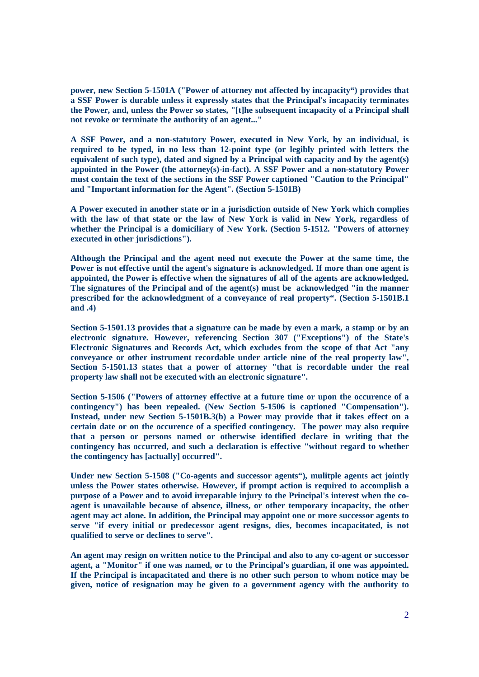**power, new Section 5-1501A ("Power of attorney not affected by incapacity") provides that a SSF Power is durable unless it expressly states that the Principal's incapacity terminates the Power, and, unless the Power so states, "[t]he subsequent incapacity of a Principal shall not revoke or terminate the authority of an agent..."**

**A SSF Power, and a non-statutory Power, executed in New York, by an individual, is required to be typed, in no less than 12-point type (or legibly printed with letters the equivalent of such type), dated and signed by a Principal with capacity and by the agent(s) appointed in the Power (the attorney(s)-in-fact). A SSF Power and a non-statutory Power must contain the text of the sections in the SSF Power captioned "Caution to the Principal" and "Important information for the Agent". (Section 5-1501B)**

**A Power executed in another state or in a jurisdiction outside of New York which complies with the law of that state or the law of New York is valid in New York, regardless of whether the Principal is a domiciliary of New York. (Section 5-1512. "Powers of attorney executed in other jurisdictions").**

**Although the Principal and the agent need not execute the Power at the same time, the Power is not effective until the agent's signature is acknowledged. If more than one agent is appointed, the Power is effective when the signatures of all of the agents are acknowledged. The signatures of the Principal and of the agent(s) must be acknowledged "in the manner prescribed for the acknowledgment of a conveyance of real property". (Section 5-1501B.1 and .4)**

**Section 5-1501.13 provides that a signature can be made by even a mark, a stamp or by an electronic signature. However, referencing Section 307 ("Exceptions") of the State's Electronic Signatures and Records Act, which excludes from the scope of that Act "any conveyance or other instrument recordable under article nine of the real property law", Section 5-1501.13 states that a power of attorney "that is recordable under the real property law shall not be executed with an electronic signature".**

**Section 5-1506 ("Powers of attorney effective at a future time or upon the occurence of a contingency") has been repealed. (New Section 5-1506 is captioned "Compensation"). Instead, under new Section 5-1501B.3(b) a Power may provide that it takes effect on a certain date or on the occurence of a specified contingency. The power may also require that a person or persons named or otherwise identified declare in writing that the contingency has occurred, and such a declaration is effective "without regard to whether the contingency has [actually] occurred".**

**Under new Section 5-1508 ("Co-agents and successor agents"), mulitple agents act jointly unless the Power states otherwise. However, if prompt action is required to accomplish a purpose of a Power and to avoid irreparable injury to the Principal's interest when the coagent is unavailable because of absence, illness, or other temporary incapacity, the other agent may act alone. In addition, the Principal may appoint one or more successor agents to serve "if every initial or predecessor agent resigns, dies, becomes incapacitated, is not qualified to serve or declines to serve".**

**An agent may resign on written notice to the Principal and also to any co-agent or successor agent, a "Monitor" if one was named, or to the Principal's guardian, if one was appointed. If the Principal is incapacitated and there is no other such person to whom notice may be given, notice of resignation may be given to a government agency with the authority to**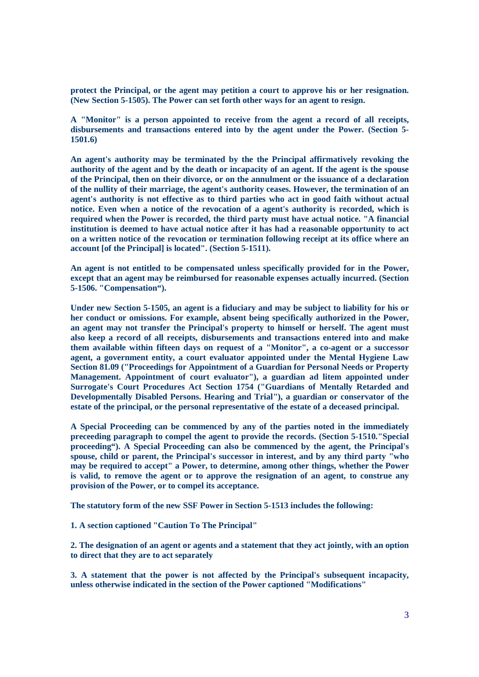**protect the Principal, or the agent may petition a court to approve his or her resignation. (New Section 5-1505). The Power can set forth other ways for an agent to resign.**

**A "Monitor" is a person appointed to receive from the agent a record of all receipts, disbursements and transactions entered into by the agent under the Power. (Section 5- 1501.6)**

**An agent's authority may be terminated by the the Principal affirmatively revoking the authority of the agent and by the death or incapacity of an agent. If the agent is the spouse of the Principal, then on their divorce, or on the annulment or the issuance of a declaration of the nullity of their marriage, the agent's authority ceases. However, the termination of an agent's authority is not effective as to third parties who act in good faith without actual notice. Even when a notice of the revocation of a agent's authority is recorded, which is required when the Power is recorded, the third party must have actual notice. "A financial institution is deemed to have actual notice after it has had a reasonable opportunity to act on a written notice of the revocation or termination following receipt at its office where an account [of the Principal] is located". (Section 5-1511).**

**An agent is not entitled to be compensated unless specifically provided for in the Power, except that an agent may be reimbursed for reasonable expenses actually incurred. (Section 5-1506. "Compensation").**

**Under new Section 5-1505, an agent is a fiduciary and may be subject to liability for his or her conduct or omissions. For example, absent being specifically authorized in the Power, an agent may not transfer the Principal's property to himself or herself. The agent must also keep a record of all receipts, disbursements and transactions entered into and make them available within fifteen days on request of a "Monitor", a co-agent or a successor agent, a government entity, a court evaluator appointed under the Mental Hygiene Law Section 81.09 ("Proceedings for Appointment of a Guardian for Personal Needs or Property Management. Appointment of court evaluator"), a guardian ad litem appointed under Surrogate's Court Procedures Act Section 1754 ("Guardians of Mentally Retarded and Developmentally Disabled Persons. Hearing and Trial"), a guardian or conservator of the estate of the principal, or the personal representative of the estate of a deceased principal.**

**A Special Proceeding can be commenced by any of the parties noted in the immediately preceeding paragraph to compel the agent to provide the records. (Section 5-1510."Special proceeding"). A Special Proceeding can also be commenced by the agent, the Principal's spouse, child or parent, the Principal's successor in interest, and by any third party "who may be required to accept" a Power, to determine, among other things, whether the Power is valid, to remove the agent or to approve the resignation of an agent, to construe any provision of the Power, or to compel its acceptance.**

**The statutory form of the new SSF Power in Section 5-1513 includes the following:**

**1. A section captioned "Caution To The Principal"**

**2. The designation of an agent or agents and a statement that they act jointly, with an option to direct that they are to act separately**

**3. A statement that the power is not affected by the Principal's subsequent incapacity, unless otherwise indicated in the section of the Power captioned "Modifications"**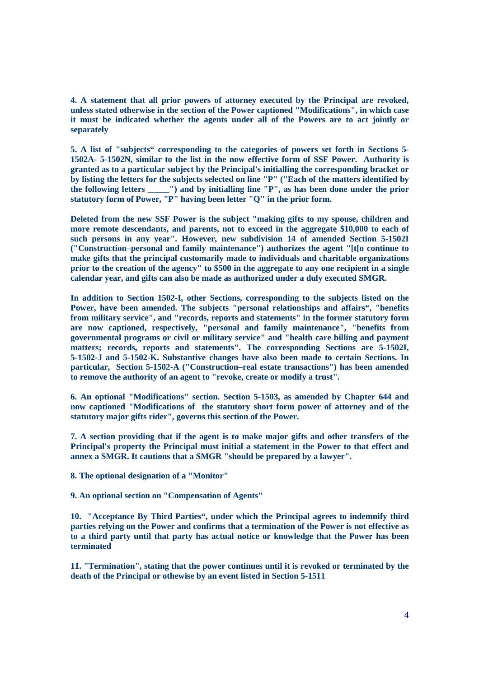**4. A statement that all prior powers of attorney executed by the Principal are revoked, unless stated otherwise in the section of the Power captioned "Modifications", in which case it must be indicated whether the agents under all of the Powers are to act jointly or separately**

**5. A list of "subjects" corresponding to the categories of powers set forth in Sections 5- 1502A- 5-1502N, similar to the list in the now effective form of SSF Power. Authority is granted as to a particular subject by the Principal's initialling the corresponding bracket or by listing the letters for the subjects selected on line "P" ("Each of the matters identified by the following letters \_\_\_\_\_") and by initialling line "P", as has been done under the prior statutory form of Power, "P" having been letter "Q" in the prior form.**

**Deleted from the new SSF Power is the subject "making gifts to my spouse, children and more remote descendants, and parents, not to exceed in the aggregate \$10,000 to each of such persons in any year". However, new subdivision 14 of amended Section 5-1502I ("Construction–personal and family maintenance") authorizes the agent "[t[o continue to make gifts that the principal customarily made to individuals and charitable organizations prior to the creation of the agency" to \$500 in the aggregate to any one recipient in a single calendar year, and gifts can also be made as authorized under a duly executed SMGR.**

**In addition to Section 1502-I, other Sections, corresponding to the subjects listed on the Power, have been amended. The subjects "personal relationships and affairs", "benefits from military service", and "records, reports and statements" in the former statutory form are now captioned, respectively, "personal and family maintenance", "benefits from governmental programs or civil or military service" and "health care billing and payment matters; records, reports and statements". The corresponding Sections are 5-1502I, 5-1502-J and 5-1502-K. Substantive changes have also been made to certain Sections. In particular, Section 5-1502-A ("Construction–real estate transactions") has been amended to remove the authority of an agent to "revoke, create or modify a trust".**

**6. An optional "Modifications" section. Section 5-1503, as amended by Chapter 644 and now captioned "Modifications of the statutory short form power of attorney and of the statutory major gifts rider", governs this section of the Power.**

**7. A section providing that if the agent is to make major gifts and other transfers of the Principal's property the Principal must initial a statement in the Power to that effect and annex a SMGR. It cautions that a SMGR "should be prepared by a lawyer".**

**8. The optional designation of a "Monitor"**

**9. An optional section on "Compensation of Agents"**

**10. "Acceptance By Third Parties", under which the Principal agrees to indemnify third parties relying on the Power and confirms that a termination of the Power is not effective as to a third party until that party has actual notice or knowledge that the Power has been terminated**

**11. "Termination", stating that the power continues until it is revoked or terminated by the death of the Principal or othewise by an event listed in Section 5-1511**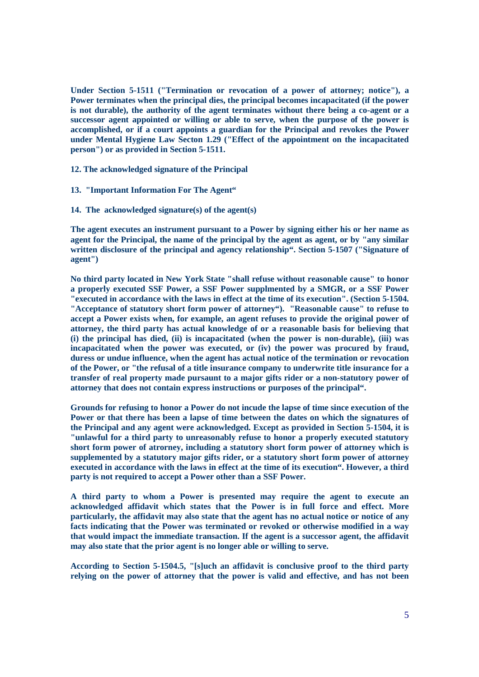**Under Section 5-1511 ("Termination or revocation of a power of attorney; notice"), a Power terminates when the principal dies, the principal becomes incapacitated (if the power is not durable), the authority of the agent terminates without there being a co-agent or a successor agent appointed or willing or able to serve, when the purpose of the power is accomplished, or if a court appoints a guardian for the Principal and revokes the Power under Mental Hygiene Law Secton 1.29 ("Effect of the appointment on the incapacitated person") or as provided in Section 5-1511.**

**12. The acknowledged signature of the Principal**

- **13. "Important Information For The Agent"**
- **14. The acknowledged signature(s) of the agent(s)**

**The agent executes an instrument pursuant to a Power by signing either his or her name as agent for the Principal, the name of the principal by the agent as agent, or by "any similar written disclosure of the principal and agency relationship". Section 5-1507 ("Signature of agent")**

**No third party located in New York State "shall refuse without reasonable cause" to honor a properly executed SSF Power, a SSF Power supplmented by a SMGR, or a SSF Power "executed in accordance with the laws in effect at the time of its execution". (Section 5-1504. "Acceptance of statutory short form power of attorney"). "Reasonable cause" to refuse to accept a Power exists when, for example, an agent refuses to provide the original power of attorney, the third party has actual knowledge of or a reasonable basis for believing that (i) the principal has died, (ii) is incapacitated (when the power is non-durable), (iii) was incapacitated when the power was executed, or (iv) the power was procured by fraud, duress or undue influence, when the agent has actual notice of the termination or revocation of the Power, or "the refusal of a title insurance company to underwrite title insurance for a transfer of real property made pursaunt to a major gifts rider or a non-statutory power of attorney that does not contain express instructions or purposes of the principal".**

**Grounds for refusing to honor a Power do not incude the lapse of time since execution of the Power or that there has been a lapse of time between the dates on which the signatures of the Principal and any agent were acknowledged. Except as provided in Section 5-1504, it is "unlawful for a third party to unreasonably refuse to honor a properly executed statutory short form power of atrorney, including a statutory short form power of attorney which is supplemented by a statutory major gifts rider, or a statutory short form power of attorney executed in accordance with the laws in effect at the time of its execution". However, a third party is not required to accept a Power other than a SSF Power.**

**A third party to whom a Power is presented may require the agent to execute an acknowledged affidavit which states that the Power is in full force and effect. More particularly, the affidavit may also state that the agent has no actual notice or notice of any facts indicating that the Power was terminated or revoked or otherwise modified in a way that would impact the immediate transaction. If the agent is a successor agent, the affidavit may also state that the prior agent is no longer able or willing to serve.**

**According to Section 5-1504.5, "[s]uch an affidavit is conclusive proof to the third party relying on the power of attorney that the power is valid and effective, and has not been**